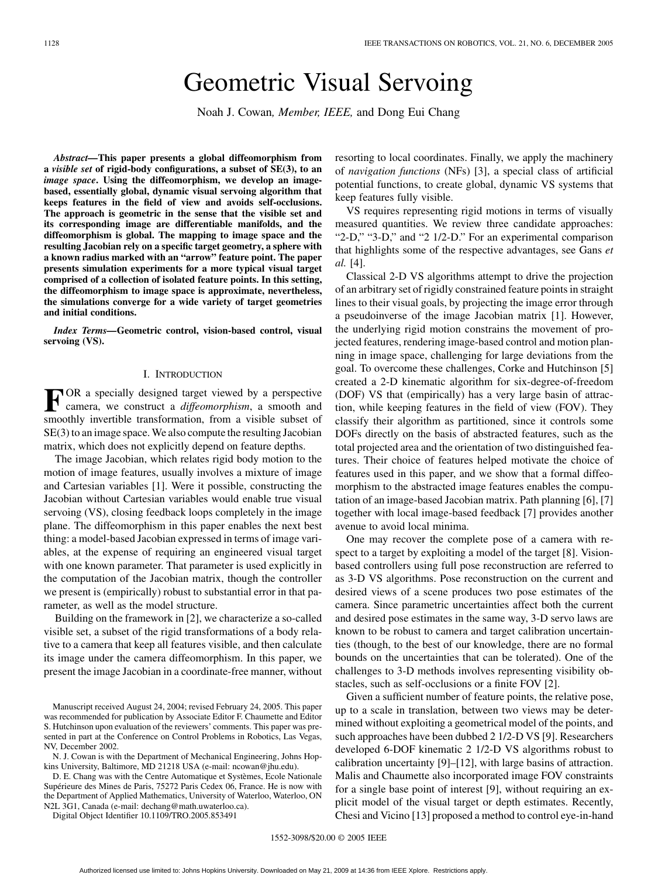# Geometric Visual Servoing

Noah J. Cowan*, Member, IEEE,* and Dong Eui Chang

*Abstract—***This paper presents a global diffeomorphism from a** *visible set* **of rigid-body configurations, a subset of SE(3), to an** *image space***. Using the diffeomorphism, we develop an imagebased, essentially global, dynamic visual servoing algorithm that keeps features in the field of view and avoids self-occlusions. The approach is geometric in the sense that the visible set and its corresponding image are differentiable manifolds, and the diffeomorphism is global. The mapping to image space and the resulting Jacobian rely on a specific target geometry, a sphere with a known radius marked with an "arrow" feature point. The paper presents simulation experiments for a more typical visual target comprised of a collection of isolated feature points. In this setting, the diffeomorphism to image space is approximate, nevertheless, the simulations converge for a wide variety of target geometries and initial conditions.**

*Index Terms—***Geometric control, vision-based control, visual servoing (VS).**

#### I. INTRODUCTION

**F** OR a specially designed target viewed by a perspective camera we construct a  $\frac{1}{2}$ camera, we construct a *diffeomorphism*, a smooth and smoothly invertible transformation, from a visible subset of SE(3) to an image space. We also compute the resulting Jacobian matrix, which does not explicitly depend on feature depths.

The image Jacobian, which relates rigid body motion to the motion of image features, usually involves a mixture of image and Cartesian variables [[1\]](#page-10-0). Were it possible, constructing the Jacobian without Cartesian variables would enable true visual servoing (VS), closing feedback loops completely in the image plane. The diffeomorphism in this paper enables the next best thing: a model-based Jacobian expressed in terms of image variables, at the expense of requiring an engineered visual target with one known parameter. That parameter is used explicitly in the computation of the Jacobian matrix, though the controller we present is (empirically) robust to substantial error in that parameter, as well as the model structure.

Building on the framework in [\[2](#page-10-0)], we characterize a so-called visible set, a subset of the rigid transformations of a body relative to a camera that keep all features visible, and then calculate its image under the camera diffeomorphism. In this paper, we present the image Jacobian in a coordinate-free manner, without

N. J. Cowan is with the Department of Mechanical Engineering, Johns Hopkins University, Baltimore, MD 21218 USA (e-mail: ncowan@jhu.edu).

D. E. Chang was with the Centre Automatique et Systèmes, Ecole Nationale Supérieure des Mines de Paris, 75272 Paris Cedex 06, France. He is now with the Department of Applied Mathematics, University of Waterloo, Waterloo, ON N2L 3G1, Canada (e-mail: dechang@math.uwaterloo.ca).

Digital Object Identifier 10.1109/TRO.2005.853491

resorting to local coordinates. Finally, we apply the machinery of *navigation functions* (NFs) [\[3](#page-10-0)], a special class of artificial potential functions, to create global, dynamic VS systems that keep features fully visible.

VS requires representing rigid motions in terms of visually measured quantities. We review three candidate approaches: "2-D," "3-D," and "2 1/2-D." For an experimental comparison that highlights some of the respective advantages, see Gans *et al.* [\[4](#page-10-0)].

Classical 2-D VS algorithms attempt to drive the projection of an arbitrary set of rigidly constrained feature points in straight lines to their visual goals, by projecting the image error through a pseudoinverse of the image Jacobian matrix [[1\]](#page-10-0). However, the underlying rigid motion constrains the movement of projected features, rendering image-based control and motion planning in image space, challenging for large deviations from the goal. To overcome these challenges, Corke and Hutchinson [\[5](#page-10-0)] created a 2-D kinematic algorithm for six-degree-of-freedom (DOF) VS that (empirically) has a very large basin of attraction, while keeping features in the field of view (FOV). They classify their algorithm as partitioned, since it controls some DOFs directly on the basis of abstracted features, such as the total projected area and the orientation of two distinguished features. Their choice of features helped motivate the choice of features used in this paper, and we show that a formal diffeomorphism to the abstracted image features enables the computation of an image-based Jacobian matrix. Path planning [\[6](#page-10-0)], [\[7](#page-10-0)] together with local image-based feedback [[7\]](#page-10-0) provides another avenue to avoid local minima.

One may recover the complete pose of a camera with respect to a target by exploiting a model of the target [\[8](#page-10-0)]. Visionbased controllers using full pose reconstruction are referred to as 3-D VS algorithms. Pose reconstruction on the current and desired views of a scene produces two pose estimates of the camera. Since parametric uncertainties affect both the current and desired pose estimates in the same way, 3-D servo laws are known to be robust to camera and target calibration uncertainties (though, to the best of our knowledge, there are no formal bounds on the uncertainties that can be tolerated). One of the challenges to 3-D methods involves representing visibility obstacles, such as self-occlusions or a finite FOV [[2\]](#page-10-0).

Given a sufficient number of feature points, the relative pose, up to a scale in translation, between two views may be determined without exploiting a geometrical model of the points, and such approaches have been dubbed 2 1/2-D VS [[9\]](#page-10-0). Researchers developed 6-DOF kinematic 2 1/2-D VS algorithms robust to calibration uncertainty [\[9](#page-10-0)]–[[12\]](#page-10-0), with large basins of attraction. Malis and Chaumette also incorporated image FOV constraints for a single base point of interest [\[9](#page-10-0)], without requiring an explicit model of the visual target or depth estimates. Recently, Chesi and Vicino [\[13](#page-10-0)] proposed a method to control eye-in-hand

Manuscript received August 24, 2004; revised February 24, 2005. This paper was recommended for publication by Associate Editor F. Chaumette and Editor S. Hutchinson upon evaluation of the reviewers' comments. This paper was presented in part at the Conference on Control Problems in Robotics, Las Vegas, NV, December 2002.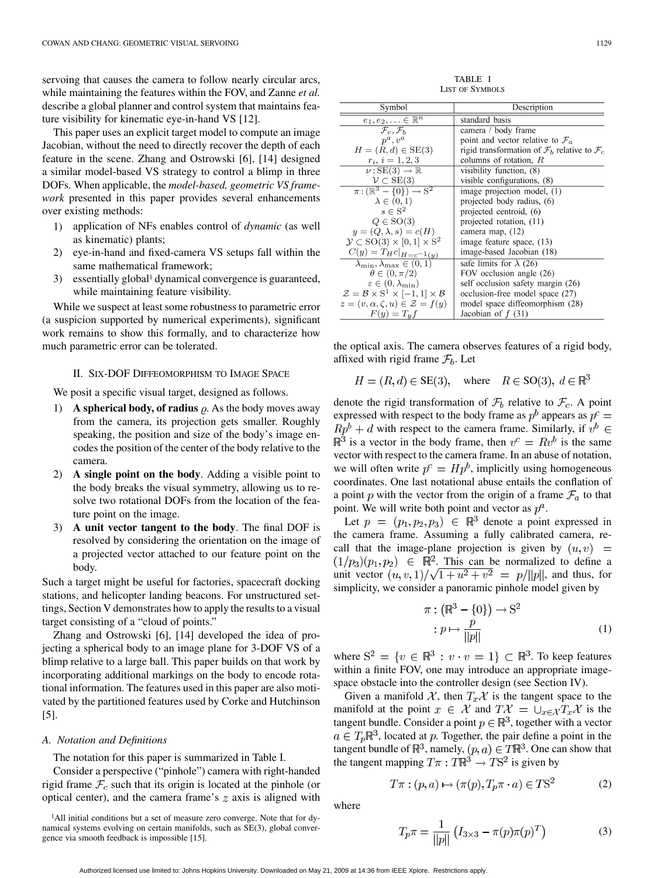servoing that causes the camera to follow nearly circular arcs, while maintaining the features within the FOV, and Zanne *et al.* describe a global planner and control system that maintains feature visibility for kinematic eye-in-hand VS [\[12](#page-10-0)].

This paper uses an explicit target model to compute an image Jacobian, without the need to directly recover the depth of each feature in the scene. Zhang and Ostrowski [\[6](#page-10-0)], [[14\]](#page-10-0) designed a similar model-based VS strategy to control a blimp in three DOFs. When applicable, the *model-based, geometric VS framework* presented in this paper provides several enhancements over existing methods:

- 1) application of NFs enables control of *dynamic* (as well as kinematic) plants;
- 2) eye-in-hand and fixed-camera VS setups fall within the same mathematical framework;
- 3) essentially global1 dynamical convergence is guaranteed, while maintaining feature visibility.

While we suspect at least some robustness to parametric error (a suspicion supported by numerical experiments), significant work remains to show this formally, and to characterize how much parametric error can be tolerated.

## II. SIX-DOF DIFFEOMORPHISM TO IMAGE SPACE

We posit a specific visual target, designed as follows.

- 1) **A spherical body, of radius**  $\rho$ . As the body moves away from the camera, its projection gets smaller. Roughly speaking, the position and size of the body's image encodes the position of the center of the body relative to the camera.
- 2) **A single point on the body**. Adding a visible point to the body breaks the visual symmetry, allowing us to resolve two rotational DOFs from the location of the feature point on the image.
- 3) **A unit vector tangent to the body**. The final DOF is resolved by considering the orientation on the image of a projected vector attached to our feature point on the body.

Such a target might be useful for factories, spacecraft docking stations, and helicopter landing beacons. For unstructured settings, Section V demonstrates how to apply the results to a visual target consisting of a "cloud of points."

Zhang and Ostrowski [[6\]](#page-10-0), [[14\]](#page-10-0) developed the idea of projecting a spherical body to an image plane for 3-DOF VS of a blimp relative to a large ball. This paper builds on that work by incorporating additional markings on the body to encode rotational information. The features used in this paper are also motivated by the partitioned features used by Corke and Hutchinson [\[5](#page-10-0)].

## *A. Notation and Definitions*

The notation for this paper is summarized in Table I.

Consider a perspective ("pinhole") camera with right-handed rigid frame  $\mathcal{F}_c$  such that its origin is located at the pinhole (or optical center), and the camera frame's  $z$  axis is aligned with

<sup>1</sup>All initial conditions but a set of measure zero converge. Note that for dynamical systems evolving on certain manifolds, such as SE(3), global convergence via smooth feedback is impossible [\[15](#page-10-0)].

TABLE I LIST OF SYMBOLS

| Symbol                                                                  | Description                                                         |
|-------------------------------------------------------------------------|---------------------------------------------------------------------|
| $e_1, e_2, \ldots \in \mathbb{R}^n$                                     | standard basis                                                      |
| $\mathcal{F}_c$ , $\mathcal{F}_h$                                       | camera / body frame                                                 |
| $v^a, v^a$                                                              | point and vector relative to $\mathcal{F}_a$                        |
| $H = (R, d) \in SE(3)$                                                  | rigid transformation of $\mathcal{F}_b$ relative to $\mathcal{F}_c$ |
| $r_i, i = 1, 2, 3$                                                      | columns of rotation, $R$                                            |
| $\nu:SE(3) \rightarrow \mathbb{R}$                                      | visibility function, (8)                                            |
| $\mathcal{V} \subset \text{SE}(3)$                                      | visible configurations, (8)                                         |
| $\pi: (\mathbb{R}^3 - \{0\}) \to \mathbb{S}^2$                          | image projection model, (1)                                         |
| $\lambda \in (0,1)$                                                     | projected body radius, (6)                                          |
| $s \in \mathrm{S}^2$                                                    | projected centroid, (6)                                             |
| $Q \in SO(3)$                                                           | projected rotation, (11)                                            |
| $y=(Q,\lambda,s)=c(H)$                                                  | camera map, (12)                                                    |
| $\mathcal{Y} \subset SO(3) \times [0,1] \times S^2$                     | image feature space, (13)                                           |
| $C(y) = T_H c _{H=c^{-1}(y)}$                                           | image-based Jacobian (18)                                           |
| $\lambda_{\min}, \lambda_{\max} \in (0, 1)$                             | safe limits for $\lambda$ (26)                                      |
| $\theta \in (0, \pi/2)$                                                 | FOV occlusion angle (26)                                            |
| $\varepsilon \in (0, \lambda_{\min})$                                   | self occlusion safety margin (26)                                   |
| $\mathcal{Z} = \mathcal{B} \times S^1 \times [-1,1] \times \mathcal{B}$ | occlusion-free model space (27)                                     |
| $z=(v,\alpha,\zeta,u)\in\mathcal{Z}=f(y)$                               | model space diffeomorphism (28)                                     |
| $F(y) = T_u f$                                                          | Jacobian of $f(31)$                                                 |

the optical axis. The camera observes features of a rigid body, affixed with rigid frame  $\mathcal{F}_b$ . Let

$$
H = (R, d) \in SE(3), \quad \text{where} \quad R \in SO(3), \ d \in \mathbb{R}^3
$$

denote the rigid transformation of  $\mathcal{F}_b$  relative to  $\mathcal{F}_c$ . A point expressed with respect to the body frame as  $p^b$  appears as  $p^c =$  $Rp^{b} + d$  with respect to the camera frame. Similarly, if  $v^{b} \in$  $\mathbb{R}^3$  is a vector in the body frame, then  $v^c = Rv^b$  is the same vector with respect to the camera frame. In an abuse of notation, we will often write  $p^c = H p^b$ , implicitly using homogeneous coordinates. One last notational abuse entails the conflation of a point p with the vector from the origin of a frame  $\mathcal{F}_a$  to that point. We will write both point and vector as  $p^a$ .

Let  $p = (p_1, p_2, p_3) \in \mathbb{R}^3$  denote a point expressed in the camera frame. Assuming a fully calibrated camera, recall that the image-plane projection is given by  $(u, v)$  =  $(1/p_3)(p_1, p_2) \in \mathbb{R}^2$ . This can be normalized to define a unit vector  $(u, v, 1) / \sqrt{1 + u^2 + v^2} = p/||p||$ , and thus, for simplicity, we consider a panoramic pinhole model given by

$$
\pi: \left(\mathbb{R}^3 - \{0\}\right) \to \mathbb{S}^2
$$

$$
: p \mapsto \frac{p}{\|p\|} \tag{1}
$$

where  $S^2 = \{v \in \mathbb{R}^3 : v \cdot v = 1\} \subset \mathbb{R}^3$ . To keep features within a finite FOV, one may introduce an appropriate imagespace obstacle into the controller design (see Section IV).

Given a manifold X, then  $T_x X$  is the tangent space to the manifold at the point  $x \in \mathcal{X}$  and  $T\mathcal{X} = \bigcup_{x \in \mathcal{X}} T_x \mathcal{X}$  is the tangent bundle. Consider a point  $p \in \mathbb{R}^3$ , together with a vector  $a \in T_p \mathbb{R}^3$ , located at p. Together, the pair define a point in the tangent bundle of  $\mathbb{R}^3$ , namely,  $(p, a) \in T\mathbb{R}^3$ . One can show that the tangent mapping  $T\pi : T\mathbb{R}^3 \to TS^2$  is given by

$$
T\pi : (p, a) \mapsto (\pi(p), T_p\pi \cdot a) \in TS^2 \tag{2}
$$

where

$$
T_p \pi = \frac{1}{\|p\|} \left( I_{3 \times 3} - \pi(p)\pi(p)^T \right) \tag{3}
$$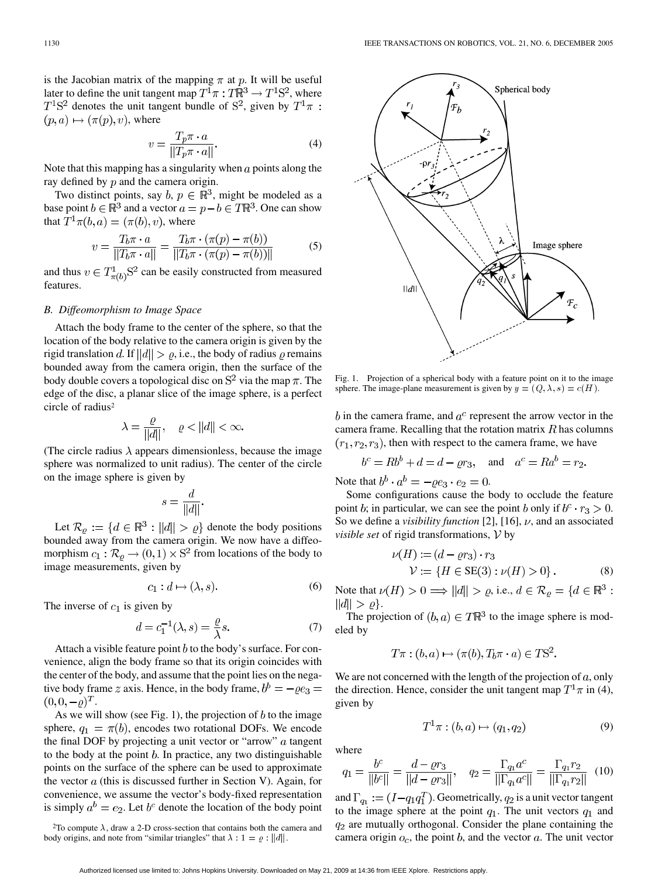is the Jacobian matrix of the mapping  $\pi$  at p. It will be useful later to define the unit tangent map  $T^1\pi : T\mathbb{R}^3 \to T^1\mathbb{S}^2$ , where  $T<sup>1</sup>S<sup>2</sup>$  denotes the unit tangent bundle of  $S<sup>2</sup>$ , given by  $T<sup>1</sup>\pi$ :  $(p, a) \mapsto (\pi(p), v)$ , where

$$
v = \frac{T_p \pi \cdot a}{\|T_p \pi \cdot a\|}.
$$
\n(4)

Note that this mapping has a singularity when  $\alpha$  points along the ray defined by  $p$  and the camera origin.

Two distinct points, say  $b, p \in \mathbb{R}^3$ , might be modeled as a base point  $b \in \mathbb{R}^3$  and a vector  $a = p - b \in T\mathbb{R}^3$ . One can show that  $T^1 \pi(b, a) = (\pi(b), v)$ , where

$$
v = \frac{T_b \pi \cdot a}{\|T_b \pi \cdot a\|} = \frac{T_b \pi \cdot (\pi(p) - \pi(b))}{\|T_b \pi \cdot (\pi(p) - \pi(b))\|} \tag{5}
$$

and thus  $v \in T^1_{\pi(b)} S^2$  can be easily constructed from measured features.

# *B. Diffeomorphism to Image Space*

Attach the body frame to the center of the sphere, so that the location of the body relative to the camera origin is given by the rigid translation d. If  $||d|| > \varrho$ , i.e., the body of radius  $\varrho$  remains bounded away from the camera origin, then the surface of the body double covers a topological disc on  $S^2$  via the map  $\pi$ . The edge of the disc, a planar slice of the image sphere, is a perfect circle of radius<sup>2</sup>

$$
\lambda = \frac{\varrho}{\|d\|}, \quad \varrho < \|d\| < \infty.
$$

(The circle radius  $\lambda$  appears dimensionless, because the image sphere was normalized to unit radius). The center of the circle on the image sphere is given by

$$
s = \frac{d}{\|d\|}.
$$

Let  $\mathcal{R}_{\varrho} := \{ d \in \mathbb{R}^3 : ||d|| > \varrho \}$  denote the body positions bounded away from the camera origin. We now have a diffeomorphism  $c_1 : \mathcal{R}_{\varrho} \to (0,1) \times \mathrm{S}^2$  from locations of the body to image measurements, given by

$$
c_1: d \mapsto (\lambda, s). \tag{6}
$$

The inverse of  $c_1$  is given by

$$
d = c_1^{-1}(\lambda, s) = \frac{\varrho}{\lambda} s. \tag{7}
$$

Attach a visible feature point  $b$  to the body's surface. For convenience, align the body frame so that its origin coincides with the center of the body, and assume that the point lies on the negative body frame z axis. Hence, in the body frame,  $b^b = -\rho e_3 =$  $(0,0,-\rho)^T$ .

As we will show (see Fig. 1), the projection of  $b$  to the image sphere,  $q_1 = \pi(b)$ , encodes two rotational DOFs. We encode the final DOF by projecting a unit vector or "arrow"  $a$  tangent to the body at the point  $b$ . In practice, any two distinguishable points on the surface of the sphere can be used to approximate the vector  $a$  (this is discussed further in Section V). Again, for convenience, we assume the vector's body-fixed representation is simply  $a^b = e_2$ . Let  $b^c$  denote the location of the body point



Fig. 1. Projection of a spherical body with a feature point on it to the image sphere. The image-plane measurement is given by  $y = (Q, \lambda, s) = c(H)$ .

 $b$  in the camera frame, and  $a^c$  represent the arrow vector in the camera frame. Recalling that the rotation matrix  $R$  has columns  $(r_1, r_2, r_3)$ , then with respect to the camera frame, we have

$$
b^c = Rb^b + d = d - \varrho r_3, \quad \text{and} \quad a^c = Ra^b = r_2.
$$

Note that  $b^b \cdot a^b = -\varrho e_3 \cdot e_2 = 0$ .

Some configurations cause the body to occlude the feature point b; in particular, we can see the point b only if  $b^c \cdot r_3 > 0$ . So we define a *visibility function* [[2\]](#page-10-0), [\[16](#page-10-0)],  $\nu$ , and an associated *visible set* of rigid transformations,  $V$  by

$$
\nu(H) := (d - \varrho r_3) \cdot r_3 \n\mathcal{V} := \{ H \in SE(3) : \nu(H) > 0 \}.
$$
\n(8)

Note that  $\nu(H) > 0 \Longrightarrow ||d|| > \varrho$ , i.e.,  $d \in \mathcal{R}_{\varrho} = \{d \in \mathbb{R}^3 :$  $||d|| > \varrho$ .

The projection of  $(b, a) \in T\mathbb{R}^3$  to the image sphere is modeled by

$$
T\pi : (b, a) \mapsto (\pi(b), T_b\pi \cdot a) \in TS^2.
$$

We are not concerned with the length of the projection of  $a$ , only the direction. Hence, consider the unit tangent map  $T^1\pi$  in (4), given by

$$
T^{1}\pi : (b, a) \mapsto (q_{1}, q_{2})
$$
\n(9)

where

$$
q_1 = \frac{b^c}{\|b^c\|} = \frac{d - \varrho r_3}{\|d - \varrho r_3\|}, \quad q_2 = \frac{\Gamma_{q_1} a^c}{\|\Gamma_{q_1} a^c\|} = \frac{\Gamma_{q_1} r_2}{\|\Gamma_{q_1} r_2\|} \tag{10}
$$

and  $\Gamma_{q_1} := (I - q_1 q_1^T)$ . Geometrically,  $q_2$  is a unit vector tangent to the image sphere at the point  $q_1$ . The unit vectors  $q_1$  and  $q_2$  are mutually orthogonal. Consider the plane containing the camera origin  $o_c$ , the point b, and the vector  $a$ . The unit vector

<sup>&</sup>lt;sup>2</sup>To compute  $\lambda$ , draw a 2-D cross-section that contains both the camera and body origins, and note from "similar triangles" that  $\lambda : 1 = \varrho : ||d||$ .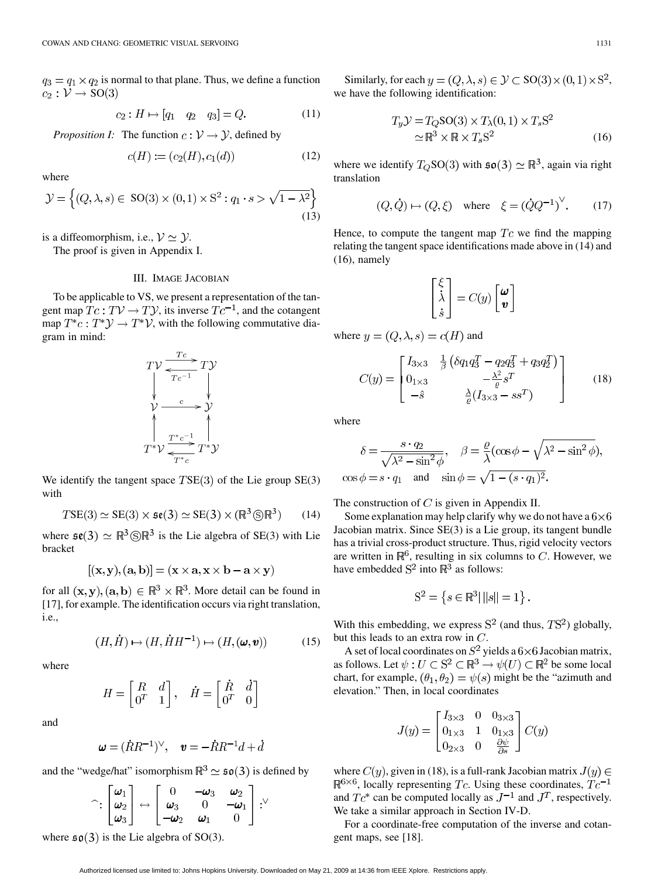$q_3 = q_1 \times q_2$  is normal to that plane. Thus, we define a function  $c_2: \mathcal{V} \rightarrow SO(3)$ 

$$
c_2: H \mapsto [q_1 \quad q_2 \quad q_3] = Q. \tag{11}
$$

*Proposition I:* The function  $c: V \rightarrow V$ , defined by

$$
c(H) := (c_2(H), c_1(d))
$$
 (12)

where

$$
\mathcal{Y} = \left\{ (Q, \lambda, s) \in SO(3) \times (0, 1) \times S^2 : q_1 \cdot s > \sqrt{1 - \lambda^2} \right\}
$$
\n(13)

is a diffeomorphism, i.e.,  $V \simeq Y$ .

The proof is given in Appendix I.

## III. IMAGE JACOBIAN

To be applicable to VS, we present a representation of the tangent map  $Tc: TV \rightarrow TV$ , its inverse  $Tc^{-1}$ , and the cotangent map  $T^*c: T^*\mathcal{Y} \to T^*\mathcal{V}$ , with the following commutative diagram in mind:

$$
TV \xrightarrow[Tc^{-1}]{Tc} TV
$$
  
\n
$$
\downarrow
$$
  
\n
$$
\downarrow
$$
  
\n
$$
\downarrow
$$
  
\n
$$
\downarrow
$$
  
\n
$$
\downarrow
$$
  
\n
$$
T^*c^{-1}
$$
  
\n
$$
\downarrow
$$
  
\n
$$
T^*c^{-1}
$$
  
\n
$$
T^*v
$$
  
\n
$$
T^*c
$$

We identify the tangent space  $TSE(3)$  of the Lie group  $SE(3)$ with

$$
TSE(3) \simeq SE(3) \times \mathfrak{se}(3) \simeq SE(3) \times (\mathbb{R}^3 \circledS \mathbb{R}^3) \qquad (14)
$$

where  $\mathfrak{se}(3) \simeq \mathbb{R}^3 \circledS \mathbb{R}^3$  is the Lie algebra of SE(3) with Lie bracket

$$
[(\mathbf{x}, \mathbf{y}), (\mathbf{a}, \mathbf{b})] = (\mathbf{x} \times \mathbf{a}, \mathbf{x} \times \mathbf{b} - \mathbf{a} \times \mathbf{y})
$$

for all  $(x, y)$ ,  $(a, b) \in \mathbb{R}^3 \times \mathbb{R}^3$ . More detail can be found in [\[17](#page-10-0)], for example. The identification occurs via right translation, i.e.,

$$
(H, \dot{H}) \mapsto (H, \dot{H}H^{-1}) \mapsto (H, (\omega, v)) \tag{15}
$$

where

$$
H = \begin{bmatrix} R & d \\ 0^T & 1 \end{bmatrix}, \quad \dot{H} = \begin{bmatrix} \dot{R} & \dot{d} \\ 0^T & 0 \end{bmatrix}
$$

and

$$
\pmb{\omega} = (\dot{R}R^{-1})^\vee, \quad \pmb{v} = -\dot{R}R^{-1}d + \dot{d}
$$

and the "wedge/hat" isomorphism  $\mathbb{R}^3 \simeq \mathfrak{so}(3)$  is defined by

$$
\hat{\phantom{a}}: \begin{bmatrix} \omega_1 \\ \omega_2 \\ \omega_3 \end{bmatrix} \leftrightarrow \begin{bmatrix} 0 & -\omega_3 & \omega_2 \\ \omega_3 & 0 & -\omega_1 \\ -\omega_2 & \omega_1 & 0 \end{bmatrix} : \text{``}
$$

where  $\mathfrak{so}(3)$  is the Lie algebra of SO(3).

Similarly, for each  $y = (Q, \lambda, s) \in \mathcal{Y} \subset SO(3) \times (0, 1) \times S^2$ , we have the following identification:

$$
T_y \mathcal{Y} = T_Q \text{SO}(3) \times T_\lambda(0,1) \times T_s \text{S}^2
$$
  
\n
$$
\simeq \mathbb{R}^3 \times \mathbb{R} \times T_s \text{S}^2
$$
 (16)

where we identify  $T_Q$ SO(3) with  $\mathfrak{so}(3) \simeq \mathbb{R}^3$ , again via right translation

$$
(Q, \dot{Q}) \mapsto (Q, \xi)
$$
 where  $\xi = (\dot{Q}Q^{-1})^{\vee}$ . (17)

Hence, to compute the tangent map  $T_c$  we find the mapping relating the tangent space identifications made above in (14) and (16), namely

$$
\begin{bmatrix} \xi \\ \dot{\lambda} \\ \dot{s} \end{bmatrix} = C(y) \begin{bmatrix} \omega \\ v \end{bmatrix}
$$

where  $y = (Q, \lambda, s) = c(H)$  and

$$
C(y) = \begin{bmatrix} I_{3\times 3} & \frac{1}{\beta} \left( \delta q_1 q_3^T - q_2 q_3^T + q_3 q_2^T \right) \\ 0_{1\times 3} & -\frac{\lambda^2}{\varrho} s^T \\ -\hat{s} & \frac{\lambda}{\varrho} (I_{3\times 3} - s s^T) \end{bmatrix}
$$
(18)

where

$$
\delta = \frac{s \cdot q_2}{\sqrt{\lambda^2 - \sin^2 \phi}}, \quad \beta = \frac{\varrho}{\lambda} (\cos \phi - \sqrt{\lambda^2 - \sin^2 \phi}),
$$
  

$$
\cos \phi = s \cdot q_1 \quad \text{and} \quad \sin \phi = \sqrt{1 - (s \cdot q_1)^2}.
$$

The construction of  $C$  is given in Appendix II.

Some explanation may help clarify why we do not have a  $6\times6$ Jacobian matrix. Since SE(3) is a Lie group, its tangent bundle has a trivial cross-product structure. Thus, rigid velocity vectors are written in  $\mathbb{R}^6$ , resulting in six columns to C. However, we have embedded  $S^2$  into  $\mathbb{R}^3$  as follows:

$$
S^2 = \left\{ s \in \mathbb{R}^3 | ||s|| = 1 \right\}.
$$

With this embedding, we express  $S^2$  (and thus,  $TS^2$ ) globally, but this leads to an extra row in  $C$ .

A set of local coordinates on  $S^2$  yields a  $6\times 6$  Jacobian matrix, as follows. Let  $\psi : U \subset \mathbb{S}^2 \subset \mathbb{R}^3 \to \psi(U) \subset \mathbb{R}^2$  be some local chart, for example,  $(\theta_1, \theta_2) = \psi(s)$  might be the "azimuth and elevation." Then, in local coordinates

$$
J(y) = \begin{bmatrix} I_{3\times 3} & 0 & 0_{3\times 3} \\ 0_{1\times 3} & 1 & 0_{1\times 3} \\ 0_{2\times 3} & 0 & \frac{\partial \psi}{\partial s} \end{bmatrix} C(y)
$$

where  $C(y)$ , given in (18), is a full-rank Jacobian matrix  $J(y) \in$  $\mathbb{R}^{6\times6}$ , locally representing Tc. Using these coordinates,  $Tc^{-1}$ and  $Tc^*$  can be computed locally as  $J^{-1}$  and  $J^T$ , respectively. We take a similar approach in Section IV-D.

For a coordinate-free computation of the inverse and cotangent maps, see [[18\]](#page-10-0).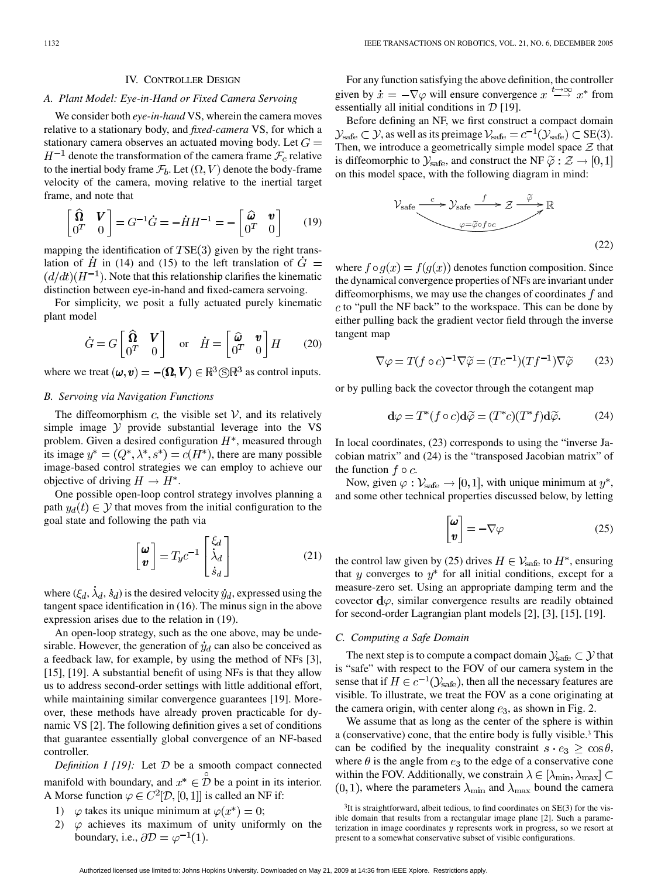#### IV. CONTROLLER DESIGN

#### *A. Plant Model: Eye-in-Hand or Fixed Camera Servoing*

We consider both *eye-in-hand* VS, wherein the camera moves relative to a stationary body, and *fixed-camera* VS, for which a stationary camera observes an actuated moving body. Let  $G =$  $H^{-1}$  denote the transformation of the camera frame  $\mathcal{F}_c$  relative to the inertial body frame  $\mathcal{F}_b$ . Let  $(\Omega,V)$  denote the body-frame velocity of the camera, moving relative to the inertial target frame, and note that

$$
\begin{bmatrix} \widehat{\mathbf{\Omega}} & \mathbf{V} \\ \mathbf{0}^T & 0 \end{bmatrix} = G^{-1} \dot{G} = -\dot{H} H^{-1} = -\begin{bmatrix} \widehat{\boldsymbol{\omega}} & \mathbf{v} \\ \mathbf{0}^T & 0 \end{bmatrix} \qquad (19)
$$

mapping the identification of  $TSE(3)$  given by the right translation of  $\hat{H}$  in (14) and (15) to the left translation of  $\hat{G}$  =  $(d/dt)(H^{-1})$ . Note that this relationship clarifies the kinematic distinction between eye-in-hand and fixed-camera servoing.

For simplicity, we posit a fully actuated purely kinematic plant model

$$
\dot{G} = G \begin{bmatrix} \widehat{\mathbf{\Omega}} & \mathbf{V} \\ 0^T & 0 \end{bmatrix} \quad \text{or} \quad \dot{H} = \begin{bmatrix} \widehat{\boldsymbol{\omega}} & \mathbf{v} \\ 0^T & 0 \end{bmatrix} H \tag{20}
$$

where we treat  $(\omega, v) = -(\Omega, V) \in \mathbb{R}^3 \otimes \mathbb{R}^3$  as control inputs.

## *B. Servoing via Navigation Functions*

The diffeomorphism  $c$ , the visible set  $V$ , and its relatively simple image  $\mathcal Y$  provide substantial leverage into the VS problem. Given a desired configuration  $H^*$ , measured through its image  $y^* = (Q^*, \lambda^*, s^*) = c(H^*)$ , there are many possible image-based control strategies we can employ to achieve our objective of driving  $H \to H^*$ .

One possible open-loop control strategy involves planning a path  $y_d(t) \in \mathcal{Y}$  that moves from the initial configuration to the goal state and following the path via

$$
\begin{bmatrix} \boldsymbol{\omega} \\ \boldsymbol{v} \end{bmatrix} = T_y c^{-1} \begin{bmatrix} \xi_d \\ \dot{\lambda}_d \\ \dot{s}_d \end{bmatrix}
$$
 (21)

where  $(\xi_d, \lambda_d, \dot{s}_d)$  is the desired velocity  $\dot{y}_d$ , expressed using the tangent space identification in (16). The minus sign in the above expression arises due to the relation in (19).

An open-loop strategy, such as the one above, may be undesirable. However, the generation of  $\dot{y}_d$  can also be conceived as a feedback law, for example, by using the method of NFs [[3\]](#page-10-0), [[15\]](#page-10-0), [[19\]](#page-10-0). A substantial benefit of using NFs is that they allow us to address second-order settings with little additional effort, while maintaining similar convergence guarantees [\[19](#page-10-0)]. Moreover, these methods have already proven practicable for dynamic VS [\[2](#page-10-0)]. The following definition gives a set of conditions that guarantee essentially global convergence of an NF-based controller.

*Definition I [[19\]](#page-10-0):* Let  $D$  be a smooth compact connected manifold with boundary, and  $x^* \in \mathcal{D}$  be a point in its interior. A Morse function  $\varphi \in C^2[\mathcal{D}, [0, 1]]$  is called an NF if:

- 1)  $\varphi$  takes its unique minimum at  $\varphi(x^*) = 0$ ;
- 2)  $\varphi$  achieves its maximum of unity uniformly on the boundary, i.e.,  $\partial \mathcal{D} = \varphi^{-1}(1)$ .

For any function satisfying the above definition, the controller given by  $\dot{x} = -\nabla \varphi$  will ensure convergence  $x \stackrel{t \to \infty}{\longrightarrow} x^*$  from essentially all initial conditions in  $\mathcal{D}$  [[19\]](#page-10-0).

Before defining an NF, we first construct a compact domain  $\mathcal{Y}_{\text{safe}} \subset \mathcal{Y}$ , as well as its preimage  $\mathcal{V}_{\text{safe}} = c^{-1}(\mathcal{Y}_{\text{safe}}) \subset \text{SE}(3)$ . Then, we introduce a geometrically simple model space  $\mathcal Z$  that is diffeomorphic to  $\mathcal{Y}_{\text{safe}}$ , and construct the NF  $\tilde{\varphi} : \mathcal{Z} \to [0,1]$ on this model space, with the following diagram in mind:

$$
\mathcal{V}_{\text{safe}} \xrightarrow{c} \mathcal{V}_{\text{safe}} \xrightarrow{f} \mathcal{Z} \xrightarrow{\tilde{\varphi}} \mathbb{R}
$$
\n
$$
\varphi = \tilde{\varphi} \circ f \circ c
$$
\n(22)

where  $f \circ g(x) = f(g(x))$  denotes function composition. Since the dynamical convergence properties of NFs are invariant under diffeomorphisms, we may use the changes of coordinates  $f$  and  $c$  to "pull the NF back" to the workspace. This can be done by either pulling back the gradient vector field through the inverse tangent map

$$
\nabla \varphi = T(f \circ c)^{-1} \nabla \widetilde{\varphi} = (T c^{-1})(T f^{-1}) \nabla \widetilde{\varphi}
$$
 (23)

or by pulling back the covector through the cotangent map

$$
\mathbf{d}\varphi = T^*(f \circ c)\mathbf{d}\widetilde{\varphi} = (T^*c)(T^*f)\mathbf{d}\widetilde{\varphi}.
$$
 (24)

In local coordinates, (23) corresponds to using the "inverse Jacobian matrix" and (24) is the "transposed Jacobian matrix" of the function  $f \circ c$ .

Now, given  $\varphi : \mathcal{V}_{\text{safe}} \to [0, 1]$ , with unique minimum at  $y^*$ , and some other technical properties discussed below, by letting

$$
\begin{bmatrix} \boldsymbol{\omega} \\ \boldsymbol{v} \end{bmatrix} = -\nabla\varphi \tag{25}
$$

the control law given by (25) drives  $H \in \mathcal{V}_{\text{safe}}$  to  $H^*$ , ensuring that y converges to  $y^*$  for all initial conditions, except for a measure-zero set. Using an appropriate damping term and the covector  $d\varphi$ , similar convergence results are readily obtained for second-order Lagrangian plant models [\[2](#page-10-0)], [[3\]](#page-10-0), [\[15](#page-10-0)], [\[19\]](#page-10-0).

# *C. Computing a Safe Domain*

The next step is to compute a compact domain  $\mathcal{Y}_{\text{safe}} \subset \mathcal{Y}$  that is "safe" with respect to the FOV of our camera system in the sense that if  $H \in c^{-1}(\mathcal{Y}_{\text{safe}})$ , then all the necessary features are visible. To illustrate, we treat the FOV as a cone originating at the camera origin, with center along  $e_3$ , as shown in Fig. 2.

We assume that as long as the center of the sphere is within a (conservative) cone, that the entire body is fully visible.3 This can be codified by the inequality constraint  $s \cdot e_3 \geq \cos \theta$ , where  $\theta$  is the angle from  $e_3$  to the edge of a conservative cone within the FOV. Additionally, we constrain  $\lambda \in [\lambda_{\min}, \lambda_{\max}] \subset$  $(0, 1)$ , where the parameters  $\lambda_{\min}$  and  $\lambda_{\max}$  bound the camera

<sup>&</sup>lt;sup>3</sup>It is straightforward, albeit tedious, to find coordinates on SE(3) for the visible domain that results from a rectangular image plane [[2\]](#page-10-0). Such a parameterization in image coordinates y represents work in progress, so we resort at present to a somewhat conservative subset of visible configurations.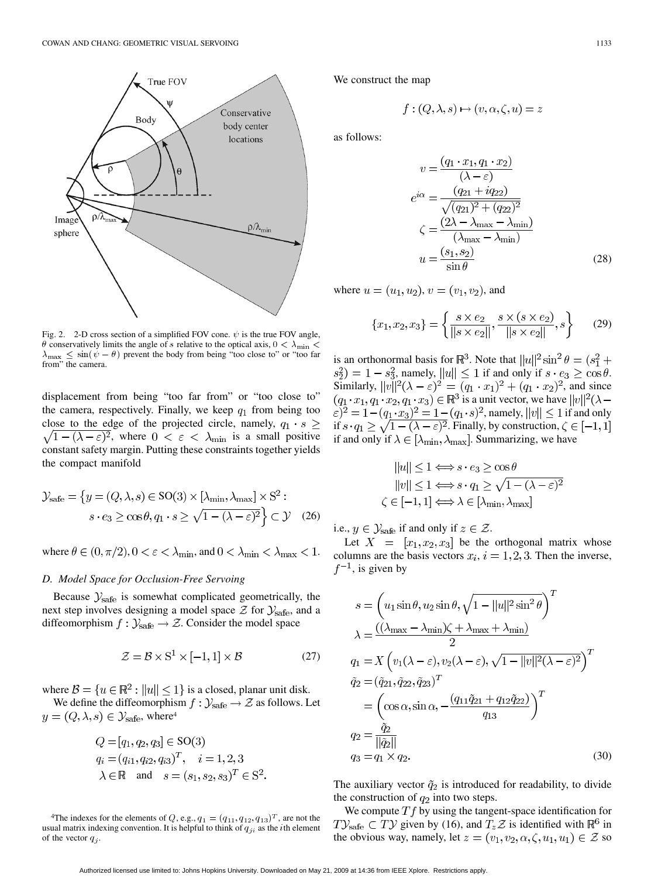

Fig. 2. 2-D cross section of a simplified FOV cone.  $\psi$  is the true FOV angle,  $\theta$  conservatively limits the angle of s relative to the optical axis,  $0 < \lambda_{\min}$  $\lambda_{\text{max}} \leq \sin(\psi - \theta)$  prevent the body from being "too close to" or "too far from" the camera.

displacement from being "too far from" or "too close to" the camera, respectively. Finally, we keep  $q_1$  from being too close to the edge of the projected circle, namely,  $q_1 \cdot s$   $\geq$  $\sqrt{1-(\lambda-\varepsilon)^2}$ , where  $0 < \varepsilon < \lambda_{\min}$  is a small positive constant safety margin. Putting these constraints together yields the compact manifold

$$
\mathcal{Y}_{\text{safe}} = \left\{ y = (Q, \lambda, s) \in \text{SO}(3) \times [\lambda_{\min}, \lambda_{\max}] \times \text{S}^2 : \right. \left. s \cdot e_3 \ge \cos \theta, q_1 \cdot s \ge \sqrt{1 - (\lambda - \varepsilon)^2} \right\} \subset \mathcal{Y} \quad (26)
$$

where  $\theta \in (0, \pi/2), 0 < \varepsilon < \lambda_{\min}$ , and  $0 < \lambda_{\min} < \lambda_{\max} < 1$ .

# *D. Model Space for Occlusion-Free Servoing*

Because  $\mathcal{Y}_{\text{safe}}$  is somewhat complicated geometrically, the next step involves designing a model space  $\mathcal Z$  for  $\mathcal Y_{\text{safe}}$ , and a diffeomorphism  $f : \mathcal{Y}_{\text{safe}} \to \mathcal{Z}$ . Consider the model space

$$
\mathcal{Z} = \mathcal{B} \times S^1 \times [-1, 1] \times \mathcal{B}
$$
 (27)

where  $\mathcal{B} = \{u \in \mathbb{R}^2 : ||u|| \le 1\}$  is a closed, planar unit disk.

We define the diffeomorphism  $f : \mathcal{Y}_{\text{safe}} \to \mathcal{Z}$  as follows. Let  $y = (Q, \lambda, s) \in \mathcal{Y}_{\text{safe}}$ , where<sup>4</sup>

$$
Q = [q_1, q_2, q_3] \in SO(3)
$$
  
 
$$
q_i = (q_{i1}, q_{i2}, q_{i3})^T, \quad i = 1, 2, 3
$$
  
 
$$
\lambda \in \mathbb{R} \text{ and } s = (s_1, s_2, s_3)^T \in S^2.
$$

<sup>4</sup>The indexes for the elements of Q, e.g.,  $q_1 = (q_{11}, q_{12}, q_{13})^T$ , are not the usual matrix indexing convention. It is helpful to think of  $q_{ji}$  as the *i*th element of the vector  $q_j$ .

We construct the map

$$
f:(Q,\lambda,s)\mapsto (v,\alpha,\zeta,u)=z
$$

as follows:

$$
v = \frac{(q_1 \cdot x_1, q_1 \cdot x_2)}{(\lambda - \varepsilon)}
$$
  
\n
$$
e^{i\alpha} = \frac{(q_{21} + iq_{22})}{\sqrt{(q_{21})^2 + (q_{22})^2}}
$$
  
\n
$$
\zeta = \frac{(2\lambda - \lambda_{\text{max}} - \lambda_{\text{min}})}{(\lambda_{\text{max}} - \lambda_{\text{min}})}
$$
  
\n
$$
u = \frac{(s_1, s_2)}{\sin \theta}
$$
 (28)

where  $u = (u_1, u_2), v = (v_1, v_2)$ , and

$$
\{x_1, x_2, x_3\} = \left\{ \frac{s \times e_2}{\|s \times e_2\|}, \frac{s \times (s \times e_2)}{\|s \times e_2\|}, s \right\}
$$
(29)

is an orthonormal basis for  $\mathbb{R}^3$ . Note that  $||u||^2 \sin^2 \theta = (s_1^2 + \theta_s^2)$ , namely,  $||u|| \leq 1$  if and only if  $s \cdot e_3 \geq \cos \theta$ . Similarly,  $||v||^2(\lambda - \varepsilon)^2 = (q_1 \cdot x_1)^2 + (q_1 \cdot x_2)^2$ , and since  $(q_1 \cdot x_1, q_1 \cdot x_2, q_1 \cdot x_3) \in \mathbb{R}^3$  is a unit vector, we have  $||v||^2(\lambda -$ , namely,  $||v|| \leq 1$  if and only if  $s \cdot q_1 \geq \sqrt{1 - (\lambda - \varepsilon)^2}$ . Finally, by construction, if and only if  $\lambda \in [\lambda_{\min}, \lambda_{\max}]$ . Summarizing, we have

$$
||u|| \le 1 \Longleftrightarrow s \cdot e_3 \ge \cos \theta
$$
  
\n
$$
||v|| \le 1 \Longleftrightarrow s \cdot q_1 \ge \sqrt{1 - (\lambda - \varepsilon)^2}
$$
  
\n
$$
\zeta \in [-1, 1] \Longleftrightarrow \lambda \in [\lambda_{\min}, \lambda_{\max}]
$$

i.e.,  $y \in \mathcal{Y}_{\text{safe}}$  if and only if  $z \in \mathcal{Z}$ .

 $\zeta$ 

Let  $X = [x_1, x_2, x_3]$  be the orthogonal matrix whose columns are the basis vectors  $x_i$ ,  $i = 1, 2, 3$ . Then the inverse,  $f^{-1}$ , is given by

$$
s = \left(u_1 \sin \theta, u_2 \sin \theta, \sqrt{1 - ||u||^2 \sin^2 \theta}\right)^T
$$
  
\n
$$
\lambda = \frac{((\lambda_{\text{max}} - \lambda_{\text{min}})\zeta + \lambda_{\text{max}} + \lambda_{\text{min}})}{2}
$$
  
\n
$$
q_1 = X \left(v_1(\lambda - \varepsilon), v_2(\lambda - \varepsilon), \sqrt{1 - ||v||^2 (\lambda - \varepsilon)^2}\right)^T
$$
  
\n
$$
\tilde{q}_2 = (\tilde{q}_{21}, \tilde{q}_{22}, \tilde{q}_{23})^T
$$
  
\n
$$
= \left(\cos \alpha, \sin \alpha, -\frac{(q_{11}\tilde{q}_{21} + q_{12}\tilde{q}_{22})}{q_{13}}\right)^T
$$
  
\n
$$
q_2 = \frac{\tilde{q}_2}{||\tilde{q}_2||}
$$
  
\n
$$
q_3 = q_1 \times q_2.
$$
  
\n(30)

The auxiliary vector  $\tilde{q}_2$  is introduced for readability, to divide the construction of  $q_2$  into two steps.

We compute  $Tf$  by using the tangent-space identification for  $T\mathcal{Y}_{\text{safe}} \subset T\mathcal{Y}$  given by (16), and  $T_z\mathcal{Z}$  is identified with  $\mathbb{R}^6$  in the obvious way, namely, let  $z = (v_1, v_2, \alpha, \zeta, u_1, u_1) \in \mathcal{Z}$  so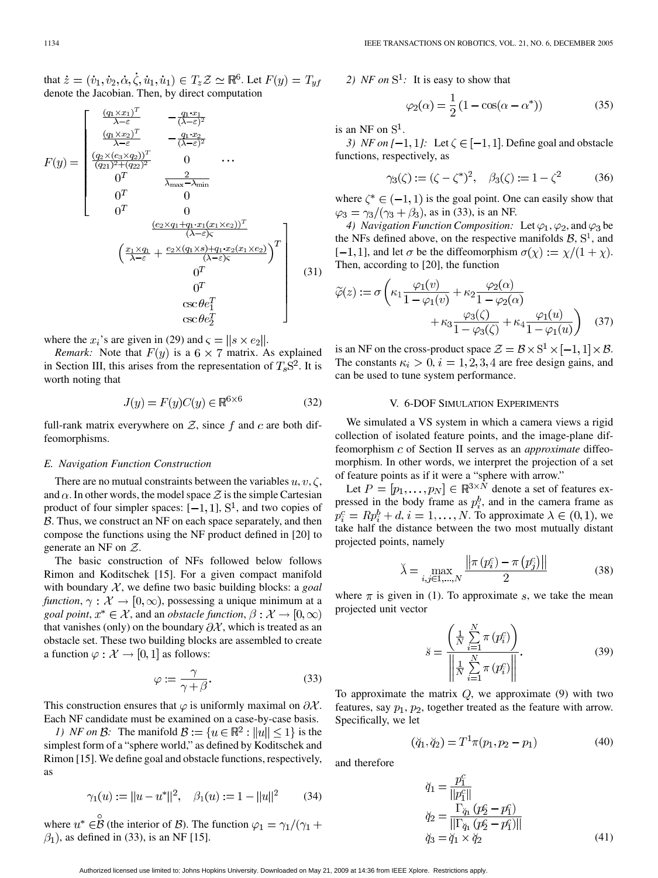that  $\dot{z} = (\dot{v}_1, \dot{v}_2, \dot{\alpha}, \dot{\zeta}, \dot{u}_1, \dot{u}_1) \in T_z \mathcal{Z} \simeq \mathbb{R}^6$ . Let  $F(y) = T_{\nu f}$ denote the Jacobian. Then, by direct computation

$$
F(y) = \begin{bmatrix} \frac{(q_1 \times x_1)^T}{\lambda - \varepsilon} & -\frac{q_1 \cdot x_1}{(\lambda - \varepsilon)^2} \\ \frac{(q_1 \times x_2)^T}{\lambda - \varepsilon} & -\frac{q_1 \cdot x_2}{(\lambda - \varepsilon)^2} \\ \frac{(q_2 \times (e_3 \times q_2))^T}{(\overline{q_{21})^2 + (q_{22})^2}} & 0 & \cdots \\ 0^T & \frac{2}{\lambda_{\text{max}} - \lambda_{\text{min}}} \\ 0^T & 0 \\ 0^T & 0 \\ \frac{(e_2 \times q_1 + q_1 \cdot x_1(x_1 \times e_2))^T}{(\lambda - \varepsilon)\varsigma} \\ \frac{x_1 \times q_1}{\lambda - \varepsilon} + \frac{e_2 \times (q_1 \times s) + q_1 \cdot x_2(x_1 \times e_2)}{(\lambda - \varepsilon)\varsigma} \\ 0^T & 0 \\ 0^T & \csc \theta e_1^T \end{bmatrix}
$$
(31)

where the  $x_i$ 's are given in (29) and  $\zeta = ||s \times e_2||$ .

*Remark:* Note that  $F(y)$  is a 6  $\times$  7 matrix. As explained in Section III, this arises from the representation of  $T_sS^2$ . It is worth noting that

$$
J(y) = F(y)C(y) \in \mathbb{R}^{6 \times 6}
$$
 (32)

full-rank matrix everywhere on  $Z$ , since f and c are both diffeomorphisms.

## *E. Navigation Function Construction*

There are no mutual constraints between the variables  $u, v, \zeta$ , and  $\alpha$ . In other words, the model space  $\mathcal Z$  is the simple Cartesian product of four simpler spaces:  $[-1, 1]$ ,  $S<sup>1</sup>$ , and two copies of  $B$ . Thus, we construct an NF on each space separately, and then compose the functions using the NF product defined in [[20\]](#page-10-0) to generate an NF on  $Z$ .

The basic construction of NFs followed below follows Rimon and Koditschek [[15\]](#page-10-0). For a given compact manifold with boundary  $X$ , we define two basic building blocks: a *goal function*,  $\gamma : \mathcal{X} \to [0, \infty)$ , possessing a unique minimum at a *goal point,*  $x^* \in \mathcal{X}$ , and an *obstacle function*,  $\beta : \mathcal{X} \to [0, \infty)$ that vanishes (only) on the boundary  $\partial X$ , which is treated as an obstacle set. These two building blocks are assembled to create a function  $\varphi : \mathcal{X} \to [0,1]$  as follows:

$$
\varphi := \frac{\gamma}{\gamma + \beta}.\tag{33}
$$

This construction ensures that  $\varphi$  is uniformly maximal on  $\partial \mathcal{X}$ . Each NF candidate must be examined on a case-by-case basis.

*1) NF on B*: The manifold  $\mathcal{B} := \{u \in \mathbb{R}^2 : ||u|| \le 1\}$  is the simplest form of a "sphere world," as defined by Koditschek and Rimon [[15\]](#page-10-0). We define goal and obstacle functions, respectively, as

$$
\gamma_1(u) := ||u - u^*||^2, \quad \beta_1(u) := 1 - ||u||^2
$$
 (34)

where  $u^* \in \mathcal{B}$  (the interior of  $\mathcal{B}$ ). The function  $\varphi_1 = \gamma_1/(\gamma_1 + \gamma_2)$  $\beta_1$ ), as defined in (33), is an NF [[15\]](#page-10-0).

2)  $NF$  on  $S^1$ : It is easy to show that

$$
\varphi_2(\alpha) = \frac{1}{2} \left( 1 - \cos(\alpha - \alpha^*) \right) \tag{35}
$$

is an NF on  $S<sup>1</sup>$ .

*3) NF on*  $[-1, 1]$ : Let  $\zeta \in [-1, 1]$ . Define goal and obstacle functions, respectively, as

$$
\gamma_3(\zeta) := (\zeta - \zeta^*)^2, \quad \beta_3(\zeta) := 1 - \zeta^2
$$
 (36)

where  $\zeta^* \in (-1,1)$  is the goal point. One can easily show that  $\varphi_3 = \gamma_3/(\gamma_3 + \beta_3)$ , as in (33), is an NF.

*4) Navigation Function Composition:* Let  $\varphi_1, \varphi_2$ , and  $\varphi_3$  be the NFs defined above, on the respective manifolds  $\mathcal{B}, S^1$ , and  $[-1, 1]$ , and let  $\sigma$  be the diffeomorphism  $\sigma(\chi) := \chi/(1 + \chi)$ . Then, according to [\[20](#page-10-0)], the function

$$
\widetilde{\varphi}(z) := \sigma \left( \kappa_1 \frac{\varphi_1(v)}{1 - \varphi_1(v)} + \kappa_2 \frac{\varphi_2(\alpha)}{1 - \varphi_2(\alpha)} + \kappa_3 \frac{\varphi_3(\zeta)}{1 - \varphi_3(\zeta)} + \kappa_4 \frac{\varphi_1(u)}{1 - \varphi_1(u)} \right) \quad (37)
$$

is an NF on the cross-product space  $\mathcal{Z} = \mathcal{B} \times S^1 \times [-1, 1] \times \mathcal{B}$ . The constants  $\kappa_i > 0$ ,  $i = 1, 2, 3, 4$  are free design gains, and can be used to tune system performance.

## V. 6-DOF SIMULATION EXPERIMENTS

We simulated a VS system in which a camera views a rigid collection of isolated feature points, and the image-plane diffeomorphism c of Section II serves as an *approximate* diffeomorphism. In other words, we interpret the projection of a set of feature points as if it were a "sphere with arrow."

Let  $P = [p_1, \ldots, p_N] \in \mathbb{R}^{3 \times N}$  denote a set of features expressed in the body frame as  $p_i^b$ , and in the camera frame as  $p_i^c = Rp_i^b + d, i = 1, \ldots, N$ . To approximate  $\lambda \in (0, 1)$ , we take half the distance between the two most mutually distant projected points, namely

$$
\lambda = \max_{i,j \in 1,...,N} \frac{\|\pi(p_i^c) - \pi(p_j^c)\|}{2}
$$
 (38)

where  $\pi$  is given in (1). To approximate s, we take the mean projected unit vector

$$
\breve{s} = \frac{\left(\frac{1}{N} \sum_{i=1}^{N} \pi (p_i^c)\right)}{\left\|\frac{1}{N} \sum_{i=1}^{N} \pi (p_i^c)\right\|}.
$$
\n(39)

To approximate the matrix  $Q$ , we approximate (9) with two features, say  $p_1$ ,  $p_2$ , together treated as the feature with arrow. Specifically, we let

$$
(\breve{q}_1, \breve{q}_2) = T^1 \pi (p_1, p_2 - p_1) \tag{40}
$$

and therefore

$$
\breve{q}_{1} = \frac{p_{1}^{c}}{||p_{1}^{c}||} \n\breve{q}_{2} = \frac{\Gamma_{\breve{q}_{1}}(p_{2}^{c} - p_{1}^{c})}{||\Gamma_{\breve{q}_{1}}(p_{2}^{c} - p_{1}^{c})||} \n\breve{q}_{3} = \breve{q}_{1} \times \breve{q}_{2}
$$
\n(41)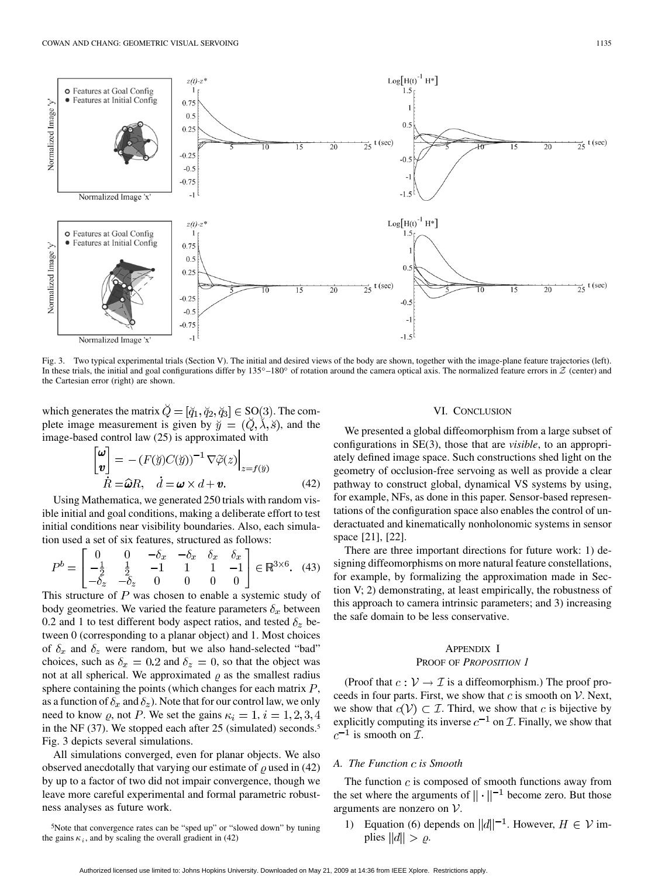

Fig. 3. Two typical experimental trials (Section V). The initial and desired views of the body are shown, together with the image-plane feature trajectories (left). In these trials, the initial and goal configurations differ by  $135^{\circ}-180^{\circ}$  of rotation around the camera optical axis. The normalized feature errors in  $Z$  (center) and the Cartesian error (right) are shown.

which generates the matrix  $\check{Q} = [\check{q}_1, \check{q}_2, \check{q}_3] \in SO(3)$ . The complete image measurement is given by  $\check{y} = (\check{Q}, \check{\lambda}, \check{s})$ , and the image-based control law (25) is approximated with D. O

$$
\begin{bmatrix} \boldsymbol{\omega} \\ \boldsymbol{v} \end{bmatrix} = - (F(\tilde{y})C(\tilde{y}))^{-1} \nabla \tilde{\varphi}(z) \Big|_{z=f(\tilde{y})}
$$
  

$$
\dot{R} = \hat{\boldsymbol{\omega}}R, \quad \dot{d} = \boldsymbol{\omega} \times d + \boldsymbol{v}.
$$
 (42)

Using Mathematica, we generated 250 trials with random visible initial and goal conditions, making a deliberate effort to test initial conditions near visibility boundaries. Also, each simulation used a set of six features, structured as follows:

$$
P^{b} = \begin{bmatrix} 0 & 0 & -\delta_{x} & -\delta_{x} & \delta_{x} & \delta_{x} \\ -\frac{1}{2} & \frac{1}{2} & -1 & 1 & 1 & -1 \\ -\delta_{z} & -\delta_{z} & 0 & 0 & 0 & 0 \end{bmatrix} \in \mathbb{R}^{3 \times 6}.
$$
 (43)

This structure of  $P$  was chosen to enable a systemic study of body geometries. We varied the feature parameters  $\delta_x$  between 0.2 and 1 to test different body aspect ratios, and tested  $\delta_z$  between 0 (corresponding to a planar object) and 1. Most choices of  $\delta_x$  and  $\delta_z$  were random, but we also hand-selected "bad" choices, such as  $\delta_x = 0.2$  and  $\delta_z = 0$ , so that the object was not at all spherical. We approximated  $\rho$  as the smallest radius sphere containing the points (which changes for each matrix  $P$ , as a function of  $\delta_x$  and  $\delta_z$ ). Note that for our control law, we only need to know  $\rho$ , not P. We set the gains  $\kappa_i = 1, i = 1, 2, 3, 4$ in the NF (37). We stopped each after 25 (simulated) seconds.<sup>5</sup> Fig. 3 depicts several simulations.

All simulations converged, even for planar objects. We also observed anecdotally that varying our estimate of  $\rho$  used in (42) by up to a factor of two did not impair convergence, though we leave more careful experimental and formal parametric robustness analyses as future work.

#### VI. CONCLUSION

We presented a global diffeomorphism from a large subset of configurations in SE(3), those that are *visible*, to an appropriately defined image space. Such constructions shed light on the geometry of occlusion-free servoing as well as provide a clear pathway to construct global, dynamical VS systems by using, for example, NFs, as done in this paper. Sensor-based representations of the configuration space also enables the control of underactuated and kinematically nonholonomic systems in sensor space [[21\]](#page-10-0), [[22\]](#page-10-0).

There are three important directions for future work: 1) designing diffeomorphisms on more natural feature constellations, for example, by formalizing the approximation made in Section V; 2) demonstrating, at least empirically, the robustness of this approach to camera intrinsic parameters; and 3) increasing the safe domain to be less conservative.

## APPENDIX I

## PROOF OF *PROPOSITION 1*

(Proof that  $c: \mathcal{V} \to \mathcal{I}$  is a diffeomorphism.) The proof proceeds in four parts. First, we show that  $c$  is smooth on  $V$ . Next, we show that  $c(V) \subset \mathcal{I}$ . Third, we show that c is bijective by explicitly computing its inverse  $c^{-1}$  on  $\mathcal I$ . Finally, we show that  $c^{-1}$  is smooth on  $\mathcal{I}$ .

# *A. The Function is Smooth*

The function  $c$  is composed of smooth functions away from the set where the arguments of  $\|\cdot\|^{-1}$  become zero. But those arguments are nonzero on  $V$ .

1) Equation (6) depends on  $||d||^{-1}$ . However,  $H \in \mathcal{V}$  implies  $||d|| > \rho$ .

<sup>5</sup>Note that convergence rates can be "sped up" or "slowed down" by tuning the gains  $\kappa_i$ , and by scaling the overall gradient in (42)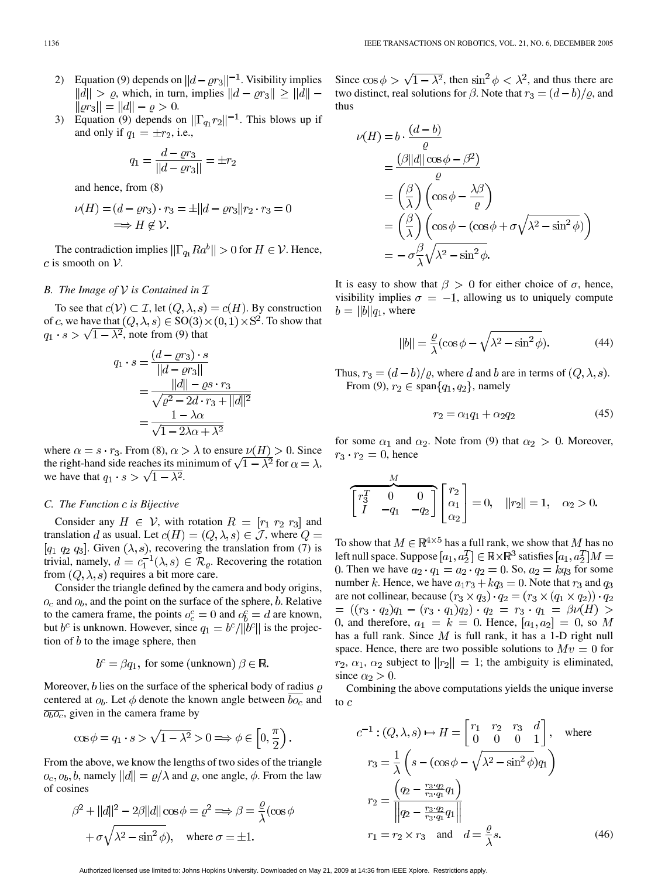- 2) Equation (9) depends on  $||d \varrho r_3||^{-1}$ . Visibility implies  $||d|| > \varrho$ , which, in turn, implies  $||d - \varrho r_3|| \geq ||d|| ||\varrho r_3|| = ||d|| - \varrho > 0.$
- 3) Equation (9) depends on  $\|\Gamma_{q_1}r_2\|^{-1}$ . This blows up if and only if  $q_1 = \pm r_2$ , i.e.,

$$
q_1 = \frac{d - \varrho r_3}{||d - \varrho r_3||} = \pm r_2
$$

and hence, from (8)

$$
\nu(H) = (d - \varrho r_3) \cdot r_3 = \pm ||d - \varrho r_3|| r_2 \cdot r_3 = 0
$$
  

$$
\implies H \notin \mathcal{V}.
$$

The contradiction implies  $\|\Gamma_{q_1} Ra^b\| > 0$  for  $H \in \mathcal{V}$ . Hence, c is smooth on  $V$ .

# *B. The Image of*  $V$  *is Contained in*  $I$

To see that  $c(\mathcal{V}) \subset \mathcal{I}$ , let  $(Q, \lambda, s) = c(H)$ . By construction of c, we have that  $(Q, \lambda, s) \in SO(3) \times (0, 1) \times S^2$ . To show that  $q_1 \cdot s > \sqrt{1 - \lambda^2}$ , note from (9) that

$$
q_1 \cdot s = \frac{(d - \varrho r_3) \cdot s}{\|d - \varrho r_3\|}
$$
  
= 
$$
\frac{\|d\| - \varrho s \cdot r_3}{\sqrt{\varrho^2 - 2d \cdot r_3 + \|d\|^2}}
$$
  
= 
$$
\frac{1 - \lambda \alpha}{\sqrt{1 - 2\lambda \alpha + \lambda^2}}
$$

where  $\alpha = s \cdot r_3$ . From (8),  $\alpha > \lambda$  to ensure  $\nu(H) > 0$ . Since the right-hand side reaches its minimum of  $\sqrt{1 - \lambda^2}$  for  $\alpha = \lambda$ , we have that  $q_1 \cdot s > \sqrt{1 - \lambda^2}$ .

# *C. The Function is Bijective*

Consider any  $H \in \mathcal{V}$ , with rotation  $R = [r_1 \ r_2 \ r_3]$  and translation d as usual. Let  $c(H) = (Q, \lambda, s) \in \mathcal{J}$ , where  $Q =$ [ $q_1$   $q_2$   $q_3$ ]. Given  $(\lambda, s)$ , recovering the translation from (7) is trivial, namely,  $d = c_1^{-1}(\lambda, s) \in \mathcal{R}_{\varrho}$ . Recovering the rotation from  $(Q, \lambda, s)$  requires a bit more care.

Consider the triangle defined by the camera and body origins,  $o_c$  and  $o_b$ , and the point on the surface of the sphere,  $b$ . Relative to the camera frame, the points  $o_c^c = 0$  and  $o_b^c = d$  are known, but  $b^c$  is unknown. However, since  $q_1 = \frac{b^c}{\vert b^c \vert \vert}$  is the projection of  $b$  to the image sphere, then

# $b^c = \beta q_1$ , for some (unknown)  $\beta \in \mathbb{R}$ .

Moreover, b lies on the surface of the spherical body of radius  $\rho$ centered at  $o_b$ . Let  $\phi$  denote the known angle between  $bo_c$  and  $\overline{\theta_b \theta_c}$ , given in the camera frame by

$$
\cos \phi = q_1 \cdot s > \sqrt{1 - \lambda^2} > 0 \Longrightarrow \phi \in \left[0, \frac{\pi}{2}\right).
$$

From the above, we know the lengths of two sides of the triangle  $o_c, o_b, b$ , namely  $||d|| = \varrho/\lambda$  and  $\varrho$ , one angle,  $\phi$ . From the law of cosines

$$
\beta^2 + ||d||^2 - 2\beta||d||\cos\phi = \varrho^2 \Longrightarrow \beta = \frac{\varrho}{\lambda}(\cos\phi)
$$

$$
+ \sigma\sqrt{\lambda^2 - \sin^2\phi}, \quad \text{where } \sigma = \pm 1.
$$

Since  $\cos \phi > \sqrt{1 - \lambda^2}$ , then  $\sin^2 \phi < \lambda^2$ , and thus there are two distinct, real solutions for  $\beta$ . Note that  $r_3 = (d - b)/\rho$ , and thus

$$
\nu(H) = b \cdot \frac{(d-b)}{\varrho}
$$
  
=  $\frac{(\beta ||d|| \cos \phi - \beta^2)}{\varrho}$   
=  $\left(\frac{\beta}{\lambda}\right) \left(\cos \phi - \frac{\lambda \beta}{\varrho}\right)$   
=  $\left(\frac{\beta}{\lambda}\right) \left(\cos \phi - (\cos \phi + \sigma \sqrt{\lambda^2 - \sin^2 \phi})\right)$   
=  $-\sigma \frac{\beta}{\lambda} \sqrt{\lambda^2 - \sin^2 \phi}.$ 

It is easy to show that  $\beta > 0$  for either choice of  $\sigma$ , hence, visibility implies  $\sigma = -1$ , allowing us to uniquely compute  $b = ||b||q_1$ , where

$$
||b|| = \frac{\varrho}{\lambda} (\cos \phi - \sqrt{\lambda^2 - \sin^2 \phi}).
$$
 (44)

Thus,  $r_3 = (d - b)/\varrho$ , where d and b are in terms of  $(Q, \lambda, s)$ . From (9),  $r_2 \in \text{span}\{q_1, q_2\}$ , namely

$$
r_2 = \alpha_1 q_1 + \alpha_2 q_2 \tag{45}
$$

for some  $\alpha_1$  and  $\alpha_2$ . Note from (9) that  $\alpha_2 > 0$ . Moreover,  $r_3 \cdot r_2 = 0$ , hence

$$
\underbrace{\begin{bmatrix} r_3^T & 0 & 0 \\ I & -q_1 & -q_2 \end{bmatrix}}_{\mathcal{A}} \begin{bmatrix} r_2 \\ \alpha_1 \\ \alpha_2 \end{bmatrix} = 0, \quad ||r_2|| = 1, \quad \alpha_2 > 0.
$$

To show that  $M \in \mathbb{R}^{4 \times 5}$  has a full rank, we show that M has no left null space. Suppose  $[a_1, a_2^T] \in \mathbb{R} \times \mathbb{R}^3$  satisfies  $[a_1, a_2^T]M =$ 0. Then we have  $a_2 \cdot q_1 = a_2 \cdot q_2 = 0$ . So,  $a_2 = k q_3$  for some number k. Hence, we have  $a_1r_3 + kq_3 = 0$ . Note that  $r_3$  and  $q_3$ are not collinear, because  $(r_3 \times q_3) \cdot q_2 = (r_3 \times (q_1 \times q_2)) \cdot q_2$  $= ((r_3 \cdot q_2)q_1 - (r_3 \cdot q_1)q_2) \cdot q_2 = r_3 \cdot q_1 = \beta \nu(H) >$ 0, and therefore,  $a_1 = k = 0$ . Hence,  $[a_1, a_2] = 0$ , so M has a full rank. Since  $M$  is full rank, it has a 1-D right null space. Hence, there are two possible solutions to  $Mv = 0$  for  $r_2, \alpha_1, \alpha_2$  subject to  $||r_2|| = 1$ ; the ambiguity is eliminated, since  $\alpha_2 > 0$ .

Combining the above computations yields the unique inverse to  $c$ 

$$
c^{-1} : (Q, \lambda, s) \mapsto H = \begin{bmatrix} r_1 & r_2 & r_3 & d \\ 0 & 0 & 0 & 1 \end{bmatrix}, \text{ where}
$$
  
\n
$$
r_3 = \frac{1}{\lambda} \left( s - (\cos \phi - \sqrt{\lambda^2 - \sin^2 \phi}) q_1 \right)
$$
  
\n
$$
r_2 = \frac{\left( q_2 - \frac{r_3 \cdot q_2}{r_3 \cdot q_1} q_1 \right)}{\left\| q_2 - \frac{r_3 \cdot q_2}{r_3 \cdot q_1} q_1 \right\|}
$$
  
\n
$$
r_1 = r_2 \times r_3 \text{ and } d = \frac{\varrho}{\lambda} s.
$$
 (46)

Authorized licensed use limited to: Johns Hopkins University. Downloaded on May 21, 2009 at 14:36 from IEEE Xplore. Restrictions apply.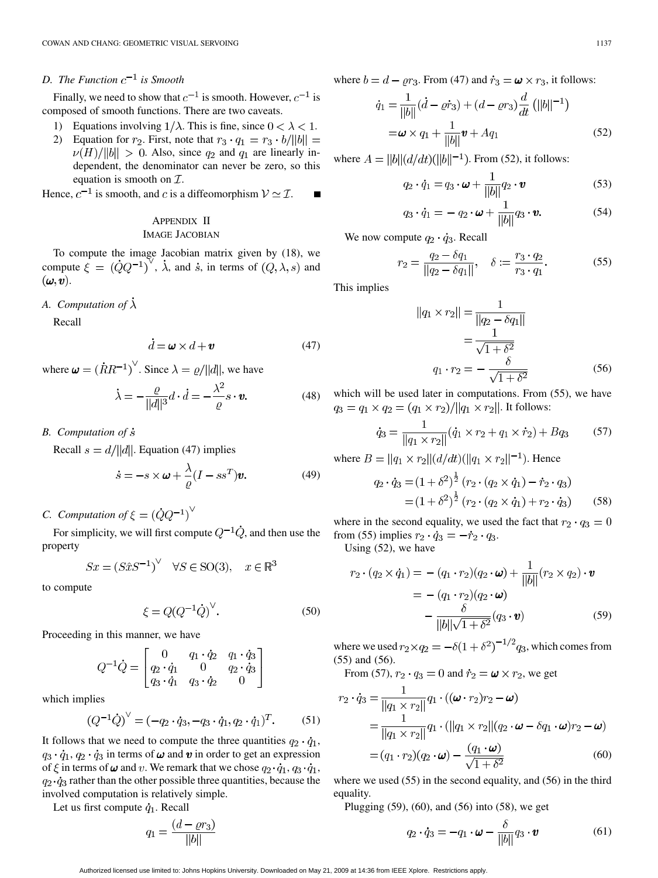# *D.* The Function  $c^{-1}$  is Smooth

Finally, we need to show that  $c^{-1}$  is smooth. However,  $c^{-1}$  is composed of smooth functions. There are two caveats.

- 1) Equations involving  $1/\lambda$ . This is fine, since  $0 < \lambda < 1$ .
- 2) Equation for  $r_2$ . First, note that  $r_3 \cdot q_1 = r_3 \cdot b / ||b|| =$  $\nu(H)/||b|| > 0$ . Also, since  $q_2$  and  $q_1$  are linearly independent, the denominator can never be zero, so this equation is smooth on  $\mathcal{I}$ .

Hence,  $c^{-1}$  is smooth, and c is a diffeomorphism  $V \simeq \mathcal{I}$ .  $\blacksquare$ 

# APPENDIX II IMAGE JACOBIAN

To compute the image Jacobian matrix given by (18), we compute  $\xi = (\dot{Q}Q^{-1})^{\vee}$ ,  $\dot{\lambda}$ , and  $\dot{s}$ , in terms of  $(Q, \lambda, s)$  and  $(\boldsymbol{\omega},\boldsymbol{v})$ .

*A. Computation of*

Recall

$$
\dot{d} = \boldsymbol{\omega} \times d + \boldsymbol{v} \tag{47}
$$

where  $\boldsymbol{\omega} = (\dot{R}R^{-1})^{\vee}$ . Since  $\lambda = \varrho/||d||$ , we have

$$
\dot{\lambda} = -\frac{\varrho}{\|d\|^3} d \cdot \dot{d} = -\frac{\lambda^2}{\varrho} s \cdot \mathbf{v}.
$$
 (48)

*B. Computation of*

Recall  $s = d/||d||$ . Equation (47) implies

$$
\dot{s} = -s \times \boldsymbol{\omega} + \frac{\lambda}{\varrho} (I - ss^T) \boldsymbol{v}.
$$
 (49)

*C. Computation of*  $\xi = (\dot{Q}Q^{-1})^{\vee}$ 

For simplicity, we will first compute  $Q^{-1}\dot{Q}$ , and then use the property

$$
Sx = (S\hat{x}S^{-1})^{\vee} \quad \forall S \in \text{SO}(3), \quad x \in \mathbb{R}^3
$$

to compute

$$
\xi = Q(Q^{-1}\dot{Q})^{\vee}.
$$
 (50)

Proceeding in this manner, we have

$$
Q^{-1}\dot{Q} = \begin{bmatrix} 0 & q_1 \cdot \dot{q}_2 & q_1 \cdot \dot{q}_3 \\ q_2 \cdot \dot{q}_1 & 0 & q_2 \cdot \dot{q}_3 \\ q_3 \cdot \dot{q}_1 & q_3 \cdot \dot{q}_2 & 0 \end{bmatrix}
$$

which implies

$$
(Q^{-1}\dot{Q})^{\vee} = (-q_2 \cdot \dot{q}_3, -q_3 \cdot \dot{q}_1, q_2 \cdot \dot{q}_1)^T.
$$
 (51)

It follows that we need to compute the three quantities  $q_2 \cdot \dot{q}_1$ ,  $q_3 \cdot \dot{q}_1$ ,  $q_2 \cdot \dot{q}_3$  in terms of  $\omega$  and  $\upsilon$  in order to get an expression of  $\xi$  in terms of  $\omega$  and v. We remark that we chose  $q_2 \cdot \dot{q}_1$ ,  $q_3 \cdot \dot{q}_1$ ,  $q_2 \cdot \dot{q}_3$  rather than the other possible three quantities, because the involved computation is relatively simple.

Let us first compute  $\dot{q}_1$ . Recall

$$
q_1 = \frac{(d - \varrho r_3)}{||b||}
$$

where  $b = d - \varrho r_3$ . From (47) and  $\dot{r}_3 = \omega \times r_3$ , it follows:

$$
\dot{q}_1 = \frac{1}{\|b\|} (\dot{d} - \varrho \dot{r}_3) + (d - \varrho r_3) \frac{d}{dt} (\|b\|^{-1})
$$
  
=  $\omega \times q_1 + \frac{1}{\|b\|} \mathbf{v} + A q_1$  (52)

where  $A = ||b||(d/dt)(||b||^{-1})$ . From (52), it follows:

$$
q_2 \cdot \dot{q}_1 = q_3 \cdot \boldsymbol{\omega} + \frac{1}{\|b\|} q_2 \cdot \boldsymbol{v}
$$
 (53)

$$
q_3 \cdot \dot{q}_1 = -q_2 \cdot \boldsymbol{\omega} + \frac{1}{\|\boldsymbol{b}\|} q_3 \cdot \boldsymbol{v}.\tag{54}
$$

We now compute  $q_2 \cdot \dot{q}_3$ . Recall

$$
r_2 = \frac{q_2 - \delta q_1}{\|q_2 - \delta q_1\|}, \quad \delta := \frac{r_3 \cdot q_2}{r_3 \cdot q_1}.
$$
 (55)

This implies

$$
||q_1 \times r_2|| = \frac{1}{||q_2 - \delta q_1||} \\
= \frac{1}{\sqrt{1 + \delta^2}} \\
q_1 \cdot r_2 = -\frac{\delta}{\sqrt{1 + \delta^2}}\n\tag{56}
$$

which will be used later in computations. From  $(55)$ , we have  $q_3 = q_1 \times q_2 = (q_1 \times r_2)/||q_1 \times r_2||$ . It follows:

$$
\dot{q}_3 = \frac{1}{\|q_1 \times r_2\|} (\dot{q}_1 \times r_2 + q_1 \times \dot{r}_2) + Bq_3 \tag{57}
$$

where  $B = ||q_1 \times r_2|| \left( \frac{d}{dt} \right) (||q_1 \times r_2||^{-1})$ . Hence

$$
q_2 \cdot \dot{q}_3 = (1 + \delta^2)^{\frac{1}{2}} (r_2 \cdot (q_2 \times \dot{q}_1) - \dot{r}_2 \cdot q_3)
$$
  
=  $(1 + \delta^2)^{\frac{1}{2}} (r_2 \cdot (q_2 \times \dot{q}_1) + r_2 \cdot \dot{q}_3)$  (58)

where in the second equality, we used the fact that  $r_2 \cdot q_3 = 0$ from (55) implies  $r_2 \cdot \dot{q}_3 = -\dot{r}_2 \cdot q_3$ .

Using (52), we have

$$
r_2 \cdot (q_2 \times \dot{q}_1) = -(q_1 \cdot r_2)(q_2 \cdot \omega) + \frac{1}{||b||} (r_2 \times q_2) \cdot \mathbf{v}
$$
  
= -(q\_1 \cdot r\_2)(q\_2 \cdot \omega)  

$$
-\frac{\delta}{||b||\sqrt{1+\delta^2}} (q_3 \cdot \mathbf{v})
$$
(59)

where we used  $r_2 \times q_2 = -\delta(1+\delta^2)^{-1/2}q_3$ , which comes from (55) and (56).

From (57), 
$$
r_2 \cdot q_3 = 0
$$
 and  $\dot{r}_2 = \boldsymbol{\omega} \times r_2$ , we get

$$
r_2 \cdot \dot{q}_3 = \frac{1}{||q_1 \times r_2||} q_1 \cdot ((\boldsymbol{\omega} \cdot r_2) r_2 - \boldsymbol{\omega})
$$
  
= 
$$
\frac{1}{||q_1 \times r_2||} q_1 \cdot (||q_1 \times r_2|| (q_2 \cdot \boldsymbol{\omega} - \delta q_1 \cdot \boldsymbol{\omega}) r_2 - \boldsymbol{\omega})
$$
  
= 
$$
(q_1 \cdot r_2)(q_2 \cdot \boldsymbol{\omega}) - \frac{(q_1 \cdot \boldsymbol{\omega})}{\sqrt{1 + \delta^2}}
$$
(60)

where we used (55) in the second equality, and (56) in the third equality.

Plugging (59), (60), and (56) into (58), we get

$$
q_2 \cdot \dot{q}_3 = -q_1 \cdot \boldsymbol{\omega} - \frac{\delta}{\|\boldsymbol{b}\|} q_3 \cdot \boldsymbol{v}
$$
 (61)